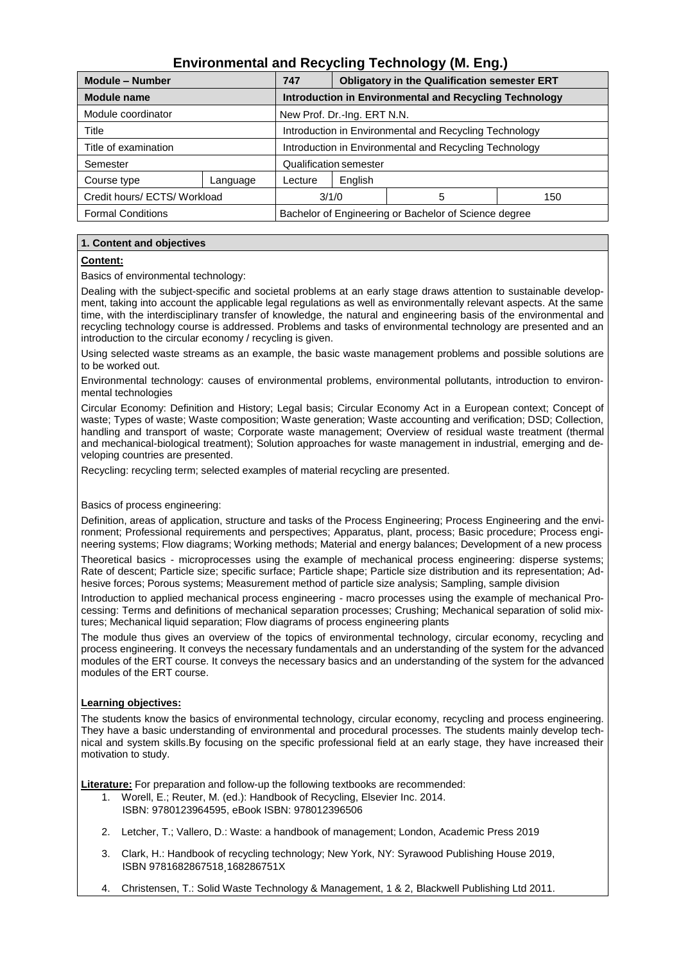# **Environmental and Recycling Technology (M. Eng.)**

| <b>Module - Number</b>       |          | 747                                                    | <b>Obligatory in the Qualification semester ERT</b> |   |     |
|------------------------------|----------|--------------------------------------------------------|-----------------------------------------------------|---|-----|
| <b>Module name</b>           |          | Introduction in Environmental and Recycling Technology |                                                     |   |     |
| Module coordinator           |          | New Prof. Dr.-Ing. ERT N.N.                            |                                                     |   |     |
| Title                        |          | Introduction in Environmental and Recycling Technology |                                                     |   |     |
| Title of examination         |          | Introduction in Environmental and Recycling Technology |                                                     |   |     |
| Semester                     |          | Qualification semester                                 |                                                     |   |     |
| Course type                  | Language | Lecture                                                | English                                             |   |     |
| Credit hours/ ECTS/ Workload |          | 3/1/0                                                  |                                                     | 5 | 150 |
| <b>Formal Conditions</b>     |          | Bachelor of Engineering or Bachelor of Science degree  |                                                     |   |     |

# **1. Content and objectives**

# **Content:**

Basics of environmental technology:

Dealing with the subject-specific and societal problems at an early stage draws attention to sustainable development, taking into account the applicable legal regulations as well as environmentally relevant aspects. At the same time, with the interdisciplinary transfer of knowledge, the natural and engineering basis of the environmental and recycling technology course is addressed. Problems and tasks of environmental technology are presented and an introduction to the circular economy / recycling is given.

Using selected waste streams as an example, the basic waste management problems and possible solutions are to be worked out.

Environmental technology: causes of environmental problems, environmental pollutants, introduction to environmental technologies

Circular Economy: Definition and History; Legal basis; Circular Economy Act in a European context; Concept of waste; Types of waste; Waste composition; Waste generation; Waste accounting and verification; DSD; Collection, handling and transport of waste; Corporate waste management; Overview of residual waste treatment (thermal and mechanical-biological treatment); Solution approaches for waste management in industrial, emerging and developing countries are presented.

Recycling: recycling term; selected examples of material recycling are presented.

# Basics of process engineering:

Definition, areas of application, structure and tasks of the Process Engineering; Process Engineering and the environment; Professional requirements and perspectives; Apparatus, plant, process; Basic procedure; Process engineering systems; Flow diagrams; Working methods; Material and energy balances; Development of a new process

Theoretical basics - microprocesses using the example of mechanical process engineering: disperse systems; Rate of descent; Particle size; specific surface; Particle shape; Particle size distribution and its representation; Adhesive forces; Porous systems; Measurement method of particle size analysis; Sampling, sample division

Introduction to applied mechanical process engineering - macro processes using the example of mechanical Processing: Terms and definitions of mechanical separation processes; Crushing; Mechanical separation of solid mixtures; Mechanical liquid separation; Flow diagrams of process engineering plants

The module thus gives an overview of the topics of environmental technology, circular economy, recycling and process engineering. It conveys the necessary fundamentals and an understanding of the system for the advanced modules of the ERT course. It conveys the necessary basics and an understanding of the system for the advanced modules of the ERT course.

# **Learning objectives:**

The students know the basics of environmental technology, circular economy, recycling and process engineering. They have a basic understanding of environmental and procedural processes. The students mainly develop technical and system skills.By focusing on the specific professional field at an early stage, they have increased their motivation to study.

**Literature:** For preparation and follow-up the following textbooks are recommended:

- 1. Worell, E.; Reuter, M. (ed.): Handbook of Recycling, Elsevier Inc. 2014.
	- ISBN: 9780123964595, eBook ISBN: 978012396506
- 2. Letcher, T.; Vallero, D.: Waste: a handbook of management; London, Academic Press 2019
- 3. Clark, H.: Handbook of recycling technology; New York, NY: Syrawood Publishing House 2019, ISBN 9781682867518¸168286751X
- 4. Christensen, T.: Solid Waste Technology & Management, 1 & 2, Blackwell Publishing Ltd 2011.